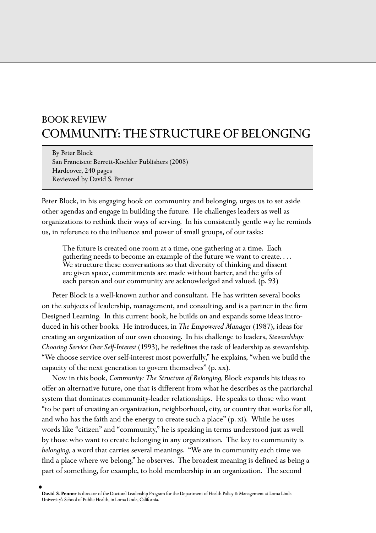## BOOK REVIEW COMMUNITY: THE STRUCTURE OF BELONGING

By Peter Block San Francisco: Berrett-Koehler Publishers (2008) Hardcover, 240 pages Reviewed by David S. Penner

Peter Block, in his engaging book on community and belonging, urges us to set aside other agendas and engage in building the future. He challenges leaders as well as organizations to rethink their ways of serving. In his consistently gentle way he reminds us, in reference to the influence and power of small groups, of our tasks:

The future is created one room at a time, one gathering at a time. Each gathering needs to become an example of the future we want to create. . . . We structure these conversations so that diversity of thinking and dissent are given space, commitments are made without barter, and the gifts of each person and our community are acknowledged and valued. (p. 93)

Peter Block is a well-known author and consultant. He has written several books on the subjects of leadership, management, and consulting, and is a partner in the firm Designed Learning. In this current book, he builds on and expands some ideas introduced in his other books. He introduces, in *The Empowered Manager* (1987), ideas for creating an organization of our own choosing. In his challenge to leaders, *Stewardship: Choosing Service Over Self-Interest* (1993), he redefines the task of leadership as stewardship. "We choose service over self-interest most powerfully," he explains, "when we build the capacity of the next generation to govern themselves" (p. xx).

Now in this book, *Community: The Structure of Belonging,* Block expands his ideas to offer an alternative future, one that is different from what he describes as the patriarchal system that dominates community-leader relationships. He speaks to those who want "to be part of creating an organization, neighborhood, city, or country that works for all, and who has the faith and the energy to create such a place" (p. xi). While he uses words like "citizen" and "community," he is speaking in terms understood just as well by those who want to create belonging in any organization. The key to community is *belonging,* a word that carries several meanings. "We are in community each time we find a place where we belong," he observes. The broadest meaning is defined as being a part of something, for example, to hold membership in an organization. The second

**David S. Penner** is director of the Doctoral Leadership Program for the Department of Health Policy & Management at Loma Linda University's School of Public Health, in Loma Linda, California.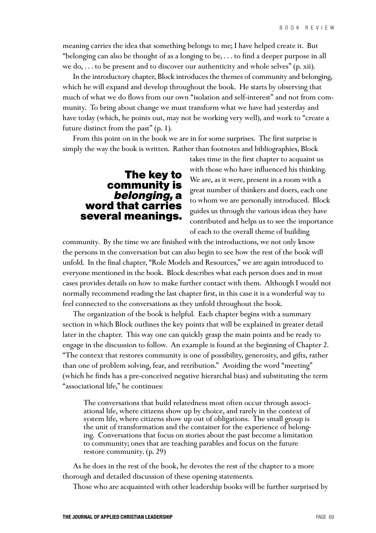meaning carries the idea that something belongs to me; I have helped create it. But "belonging can also be thought of as a longing to be, . . . to find a deeper purpose in all we do,  $\dots$  to be present and to discover our authenticity and whole selves" (p. xii).

In the introductory chapter, Block introduces the themes of community and belonging, which he will expand and develop throughout the book. He starts by observing that much of what we do flows from our own "isolation and self-interest" and not from community. To bring about change we must transform what we have had yesterday and have today (which, he points out, may not be working very well), and work to "create a future distinct from the past" (p. 1).

From this point on in the book we are in for some surprises. The first surprise is simply the way the book is written. Rather than footnotes and bibliographies, Block

## **The key to community is belonging, a word that carries several meanings.**

takes time in the first chapter to acquaint us with those who have influenced his thinking. We are, as it were, present in a room with a great number of thinkers and doers, each one to whom we are personally introduced. Block guides us through the various ideas they have contributed and helps us to see the importance of each to the overall theme of building

community. By the time we are finished with the introductions, we not only know the persons in the conversation but can also begin to see how the rest of the book will unfold. In the final chapter, "Role Models and Resources," we are again introduced to everyone mentioned in the book. Block describes what each person does and in most cases provides details on how to make further contact with them. Although I would not normally recommend reading the last chapter first, in this case it is a wonderful way to feel connected to the conversations as they unfold throughout the book.

The organization of the book is helpful. Each chapter begins with a summary section in which Block outlines the key points that will be explained in greater detail later in the chapter. This way one can quickly grasp the main points and be ready to engage in the discussion to follow. An example is found at the beginning of Chapter 2. "The context that restores community is one of possibility, generosity, and gifts, rather than one of problem solving, fear, and retribution." Avoiding the word "meeting" (which he finds has a pre-conceived negative hierarchal bias) and substituting the term "associational life," he continues:

The conversations that build relatedness most often occur through associational life, where citizens show up by choice, and rarely in the context of system life, where citizens show up out of obligations. The small group is the unit of transformation and the container for the experience of belonging. Conversations that focus on stories about the past become a limitation to community; ones that are teaching parables and focus on the future restore community. (p. 29)

As he does in the rest of the book, he devotes the rest of the chapter to a more thorough and detailed discussion of these opening statements.

Those who are acquainted with other leadership books will be further surprised by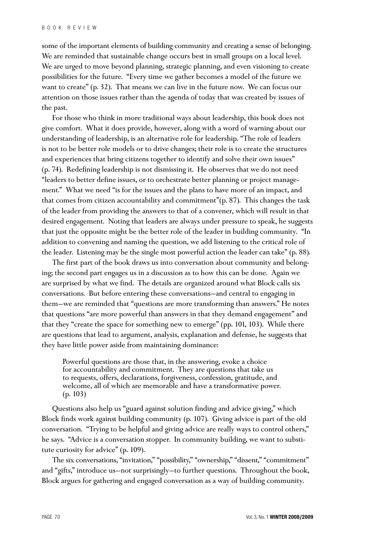some of the important elements of building community and creating a sense of belonging. We are reminded that sustainable change occurs best in small groups on a local level. We are urged to move beyond planning, strategic planning, and even visioning to create possibilities for the future. "Every time we gather becomes a model of the future we want to create" (p. 32). That means we can live in the future now. We can focus our attention on those issues rather than the agenda of today that was created by issues of the past.

For those who think in more traditional ways about leadership, this book does not give comfort. What it does provide, however, along with a word of warning about our understanding of leadership, is an alternative role for leadership. "The role of leaders is not to be better role models or to drive changes; their role is to create the structures and experiences that bring citizens together to identify and solve their own issues" (p. 74). Redefining leadership is not dismissing it. He observes that we do not need "leaders to better define issues, or to orchestrate better planning or project management." What we need "is for the issues and the plans to have more of an impact, and that comes from citizen accountability and commitment"(p. 87). This changes the task of the leader from providing the answers to that of a convener, which will result in that desired engagement. Noting that leaders are always under pressure to speak, he suggests that just the opposite might be the better role of the leader in building community. "In addition to convening and naming the question, we add listening to the critical role of the leader. Listening may be the single most powerful action the leader can take" (p. 88).

The first part of the book draws us into conversation about community and belonging; the second part engages us in a discussion as to how this can be done. Again we are surprised by what we find. The details are organized around what Block calls six conversations. But before entering these conversations—and central to engaging in them—we are reminded that "questions are more transforming than answers." He notes that questions "are more powerful than answers in that they demand engagement" and that they "create the space for something new to emerge" (pp. 101, 103). While there are questions that lead to argument, analysis, explanation and defense, he suggests that they have little power aside from maintaining dominance:

Powerful questions are those that, in the answering, evoke a choice for accountability and commitment. They are questions that take us to requests, offers, declarations, forgiveness, confession, gratitude, and welcome, all of which are memorable and have a transformative power. (p. 103)

Questions also help us "guard against solution finding and advice giving," which Block finds work against building community (p. 107). Giving advice is part of the old conversation. "Trying to be helpful and giving advice are really ways to control others," he says. "Advice is a conversation stopper. In community building, we want to substitute curiosity for advice" (p. 109).

The six conversations, "invitation," "possibility," "ownership," "dissent," "commitment" and "gifts," introduce us—not surprisingly—to further questions. Throughout the book, Block argues for gathering and engaged conversation as a way of building community.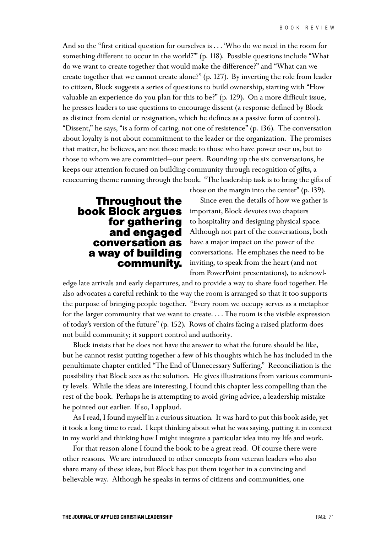And so the "first critical question for ourselves is . . . 'Who do we need in the room for something different to occur in the world?'" (p. 118). Possible questions include "What do we want to create together that would make the difference?" and "What can we create together that we cannot create alone?" (p. 127). By inverting the role from leader to citizen, Block suggests a series of questions to build ownership, starting with "How valuable an experience do you plan for this to be?" (p. 129). On a more difficult issue, he presses leaders to use questions to encourage dissent (a response defined by Block as distinct from denial or resignation, which he defines as a passive form of control). "Dissent," he says, "is a form of caring, not one of resistence" (p. 136). The conversation about loyalty is not about commitment to the leader or the organization. The promises that matter, he believes, are not those made to those who have power over us, but to those to whom we are committed—our peers. Rounding up the six conversations, he keeps our attention focused on building community through recognition of gifts, a reoccurring theme running through the book. "The leadership task is to bring the gifts of

## **Throughout the book Block argues for gathering and engaged conversation as a way of building community.**

Since even the details of how we gather is important, Block devotes two chapters to hospitality and designing physical space. Although not part of the conversations, both have a major impact on the power of the conversations. He emphases the need to be inviting, to speak from the heart (and not from PowerPoint presentations), to acknowl-

those on the margin into the center" (p. 139).

edge late arrivals and early departures, and to provide a way to share food together. He also advocates a careful rethink to the way the room is arranged so that it too supports the purpose of bringing people together. "Every room we occupy serves as a metaphor for the larger community that we want to create. . . . The room is the visible expression of today's version of the future" (p. 152). Rows of chairs facing a raised platform does not build community; it support control and authority.

Block insists that he does not have the answer to what the future should be like, but he cannot resist putting together a few of his thoughts which he has included in the penultimate chapter entitled "The End of Unnecessary Suffering." Reconciliation is the possibility that Block sees as the solution. He gives illustrations from various community levels. While the ideas are interesting, I found this chapter less compelling than the rest of the book. Perhaps he is attempting to avoid giving advice, a leadership mistake he pointed out earlier. If so, I applaud.

As I read, I found myself in a curious situation. It was hard to put this book aside, yet it took a long time to read. I kept thinking about what he was saying, putting it in context in my world and thinking how I might integrate a particular idea into my life and work.

For that reason alone I found the book to be a great read. Of course there were other reasons. We are introduced to other concepts from veteran leaders who also share many of these ideas, but Block has put them together in a convincing and believable way. Although he speaks in terms of citizens and communities, one